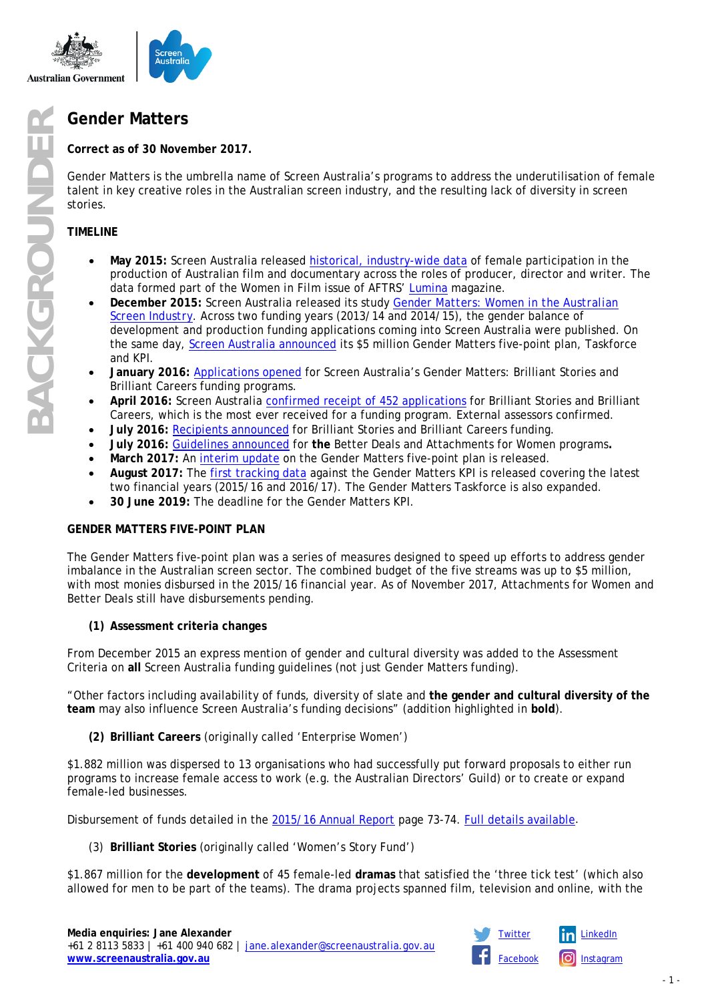

**Correct as of 30 November 2017.**

Gender Matters is the umbrella name of Screen Australia's programs to address the underutilisation of female talent in key creative roles in the Australian screen industry, and the resulting lack of diversity in screen stories.

# **TIMELINE**

- **May 2015:** Screen Australia released [historical, industry-wide data](https://www.screenaustralia.gov.au/fact-finders/infographics/women-working-in-creative-roles) of female participation in the production of Australian film and documentary across the roles of producer, director and writer. The data formed part of the *Women in Film* issue of AFTRS' [Lumina](http://www.aftrs.edu.au/lumina) magazine.
- **December 2015:** Screen Australia released its study *[Gender Matters: Women in the Australian](https://www.screenaustralia.gov.au/fact-finders/reports-and-key-issues/reports-and-discussion-papers/gender-matters)  [Screen Industry](https://www.screenaustralia.gov.au/fact-finders/reports-and-key-issues/reports-and-discussion-papers/gender-matters)*. Across two funding years (2013/14 and 2014/15), the gender balance of development and production funding applications coming into Screen Australia were published. On the same day, [Screen Australia announced](https://www.screenaustralia.gov.au/sa/media-centre/news/2015/mr_151207_gendermatters) its \$5 million Gender Matters five-point plan, Taskforce and KPI.
- **January 2016:** [Applications opened](https://www.screenaustralia.gov.au/sa/media-centre/news/2016/01-28-brilliant-careers-and-stories) for Screen Australia's Gender Matters: Brilliant Stories and Brilliant Careers funding programs.
- **April 2016:** Screen Australia confirmed [receipt of 452 applications](https://www.screenaustralia.gov.au/sa/media-centre/news/2016/04-13-gender-matters-record-number-application) for Brilliant Stories and Brilliant Careers, which is the most ever received for a funding program. External assessors confirmed.
- **July 2016:** [Recipients announced](https://www.screenaustralia.gov.au/sa/media-centre/news/2016/07-12-gender-matters-brilliant-stories-brillia) for Brilliant Stories and Brilliant Careers funding.
- **July 2016:** [Guidelines announced](https://www.screenaustralia.gov.au/sa/media-centre/news/2016/07-29-gender-matters-better-deals-and-attachme) for **the** Better Deals and Attachments for Women programs**.**
- **March 2017:** An [interim update](https://www.screenaustralia.gov.au/sa/media-centre/news/2017/03-08-gender-matters-interim-update) on the Gender Matters five-point plan is released.
- **August 2017:** The [first tracking data](https://www.screenaustralia.gov.au/sa/media-centre/news/2017/08-06-gender-matters-update) against the Gender Matters KPI is released covering the latest two financial years (2015/16 and 2016/17). The Gender Matters Taskforce is also expanded.
- **30 June 2019:** The deadline for the Gender Matters KPI.

# **GENDER MATTERS FIVE-POINT PLAN**

The Gender Matters five-point plan was a series of measures designed to speed up efforts to address gender imbalance in the Australian screen sector. The combined budget of the five streams was up to \$5 million, with most monies disbursed in the 2015/16 financial year. As of November 2017, Attachments for Women and Better Deals still have disbursements pending.

# **(1) Assessment criteria changes**

From December 2015 an express mention of gender and cultural diversity was added to the Assessment Criteria on **all** Screen Australia funding guidelines (not just Gender Matters funding).

"Other factors including availability of funds, diversity of slate and **the gender and cultural diversity of the team** may also influence Screen Australia's funding decisions" (addition highlighted in **bold**).

**(2) Brilliant Careers** (originally called 'Enterprise Women')

\$1.882 million was dispersed to 13 organisations who had successfully put forward proposals to either run programs to increase female access to work (e.g. the Australian Directors' Guild) or to create or expand female-led businesses.

Disbursement of funds detailed in the [2015/16 Annual Report](https://www.screenaustralia.gov.au/about-us/corporate-documents/annual-reports) page 73-74. [Full details available.](https://www.screenaustralia.gov.au/sa/new-directions/gender-matters/brilliant-careers)

(3) **Brilliant Stories** (originally called 'Women's Story Fund')

\$1.867 million for the **development** of 45 female-led **dramas** that satisfied the 'three tick test' (which also allowed for men to be part of the teams). The drama projects spanned film, television and online, with the

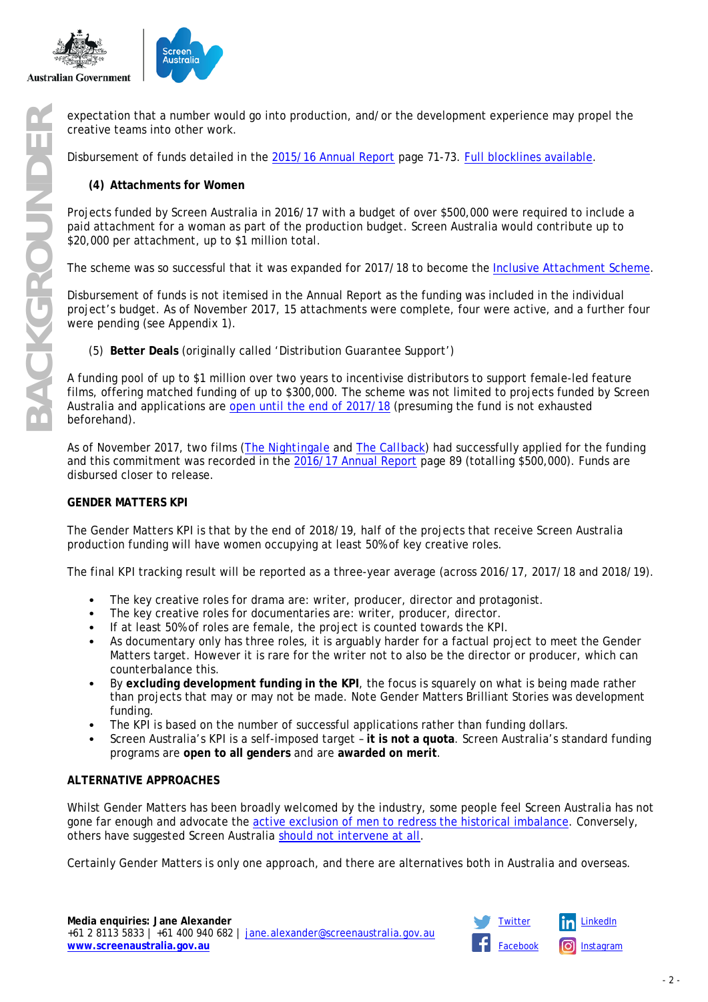



creative teams into other work.

Disbursement of funds detailed in the [2015/16 Annual Report](https://www.screenaustralia.gov.au/about-us/corporate-documents/annual-reports) page 71-73. [Full blocklines](https://www.screenaustralia.gov.au/sa/new-directions/gender-matters/gender-matters-funding/brilliant-stories-update/brilliant-stories) available.

# **(4) Attachments for Women**

Projects funded by Screen Australia in 2016/17 with a budget of over \$500,000 were required to include a paid attachment for a woman as part of the production budget. Screen Australia would contribute up to \$20,000 per attachment, up to \$1 million total.

The scheme was so successful that it was expanded for 2017/18 to become the [Inclusive Attachment Scheme.](https://www.screenaustralia.gov.au/sa/screen-news/2017/07-26-festival-triennial-funding-and-name-changes)

Disbursement of funds is not itemised in the Annual Report as the funding was included in the individual project's budget. As of November 2017, 15 attachments were complete, four were active, and a further four were pending (see Appendix 1).

(5) **Better Deals** (originally called 'Distribution Guarantee Support')

expectation that a number would go into production, and/or the development experience may propel the<br>
Bisbursement of funds detailed in the <u>2015/16 Annual Report</u> page 71-73. <u>Full blocklines available</u>.<br>
(4) Attachment f A funding pool of up to \$1 million over two years to incentivise distributors to support female-led feature films, offering matched funding of up to \$300,000. The scheme was not limited to projects funded by Screen Australia and applications are [open until the end of 2017/18](https://www.screenaustralia.gov.au/sa/screen-news/2017/07-26-festival-triennial-funding-and-name-changes) (presuming the fund is not exhausted beforehand).

As of November 2017, two films (*[The Nightingale](https://www.screenaustralia.gov.au/sa/media-centre/news/2017/03-17-the-nightingale)* and *[The Callback](https://www.screenaustralia.gov.au/sa/media-centre/news/2017/07-25-the-call-back)*) had successfully applied for the funding and this commitment was recorded in the [2016/17 Annual Report](https://www.screenaustralia.gov.au/about-us/corporate-documents/annual-reports) page 89 (totalling \$500,000). Funds are disbursed closer to release.

### **GENDER MATTERS KPI**

The Gender Matters KPI is that by the end of 2018/19, half of the projects that receive Screen Australia production funding will have women occupying at least 50% of key creative roles.

The final KPI tracking result will be reported as a three-year average (across 2016/17, 2017/18 and 2018/19).

- The key creative roles for drama are: writer, producer, director and protagonist.
- The key creative roles for documentaries are: writer, producer, director.
- If at least 50% of roles are female, the project is counted towards the KPI.
- As documentary only has three roles, it is arguably harder for a factual project to meet the Gender Matters target. However it is rare for the writer not to also be the director or producer, which can counterbalance this.
- By **excluding development funding in the KPI**, the focus is squarely on what is being made rather than projects that may or may not be made. Note Gender Matters Brilliant Stories was development funding.
- The KPI is based on the number of successful applications rather than funding dollars.
- Screen Australia's KPI is a self-imposed target **it is not a quota**. Screen Australia's standard funding programs are **open to all genders** and are **awarded on merit**.

### **ALTERNATIVE APPROACHES**

Whilst Gender Matters has been broadly welcomed by the industry, some people feel Screen Australia has not gone far enough and advocate the active exclusion of men [to redress the historical imbalance.](https://www.if.com.au/deb-verhoeven-urges-deny-screen-australia-funding-males-dont-promote-diversity/) Conversely, others have suggested Screen Australia [should not intervene at all.](http://www.theaustralian.com.au/arts/review/gender-equity-debate-in-film-and-tv-divides-the-industry/news-story/1e85312b0ce8fde6b84fdf7d75c7a70f)

Certainly Gender Matters is only one approach, and there are alternatives both in Australia and overseas.

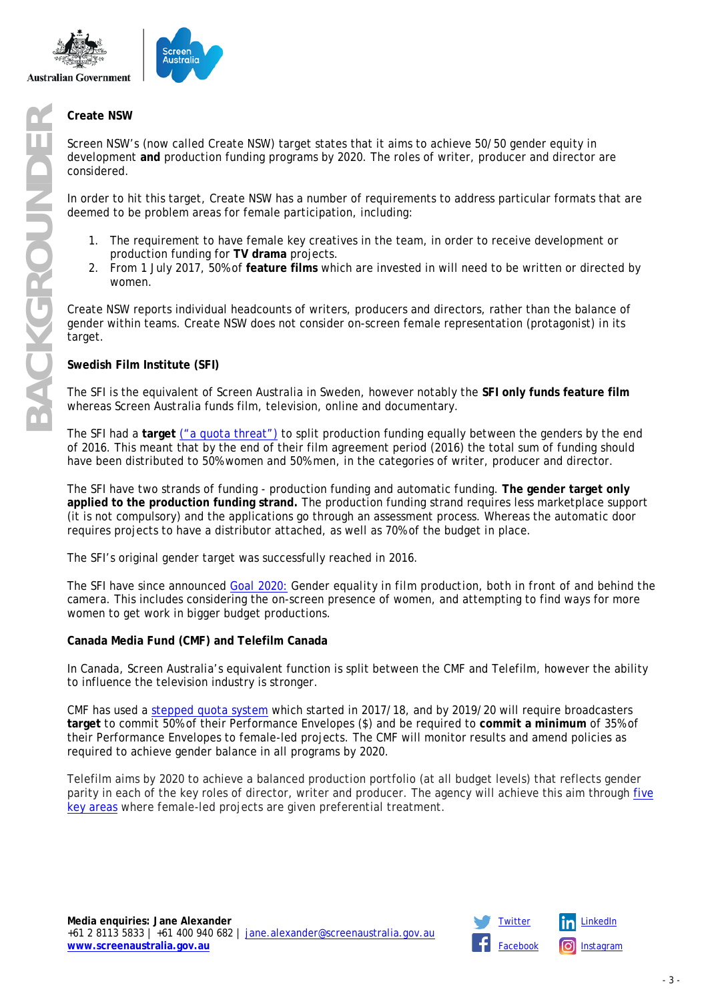

Screen NSW's (now called Create NSW) target states that it aims to achieve 50/50 gender equity in development **and** production funding programs by 2020. The roles of writer, producer and director are considered.

In order to hit this target, Create NSW has a number of requirements to address particular formats that are deemed to be problem areas for female participation, including:

- The requirement to have female key creatives in the team, in order to receive development or production funding for **TV drama** projects.
- 2. From 1 July 2017, 50% of **feature films** which are invested in will need to be written or directed by women.

Create NSW reports individual headcounts of writers, producers and directors, rather than the balance of gender within teams. Create NSW does not consider on-screen female representation (protagonist) in its target.

### **Swedish Film Institute (SFI)**

The SFI is the equivalent of Screen Australia in Sweden, however notably the **SFI only funds feature film** whereas Screen Australia funds film, television, online and documentary.

The SFI had a **target** [\("a quota threat"\)](http://www.abc.net.au/radionational/programs/breakfast/the-woman-who-changed-a-film-industry/8478872) to split production funding equally between the genders by the end of 2016. This meant that by the end of their film agreement period (2016) the total sum of funding should have been distributed to 50% women and 50% men, in the categories of writer, producer and director.

The SFI have two strands of funding - production funding and automatic funding. **The gender target only applied to the production funding strand.** The production funding strand requires less marketplace support (it is not compulsory) and the applications go through an assessment process. Whereas the automatic door requires projects to have a distributor attached, as well as 70% of the budget in place.

The SFI's original gender target was successfully reached in 2016.

The SFI have since announced *[Goal 2020:](http://www.filminstitutet.se/en/about-us/swedish-film-institute/gender-equality/) Gender equality in film production, both in front of and behind the camera.* This includes considering the on-screen presence of women, and attempting to find ways for more women to get work in bigger budget productions.

# **Canada Media Fund (CMF) and Telefilm Canada**

In Canada, Screen Australia's equivalent function is split between the CMF and Telefilm, however the ability to influence the television industry is stronger.

CMF has used a [stepped quota system](https://www.cmf-fmc.ca/en-ca/news-events/news/march-2017/cmf-announces-initiatives-to-increase-the-contribu) which started in 2017/18, and by 2019/20 will require broadcasters **target** to commit 50% of their Performance Envelopes (\$) and be required to **commit a minimum** of 35% of their Performance Envelopes to female-led projects. The CMF will monitor results and amend policies as required to achieve gender balance in all programs by 2020.

Telefilm aims by 2020 to achieve a balanced production portfolio (at all budget levels) that reflects gender parity in each of the key roles of director, writer and producer. The agency will achieve this aim through [five](https://telefilm.ca/en/news-releases/telefilm-canada-announces-partnership-industry-gender-parity-measures-feature-film-production-financing)  [key areas](https://telefilm.ca/en/news-releases/telefilm-canada-announces-partnership-industry-gender-parity-measures-feature-film-production-financing) where female-led projects are given preferential treatment.

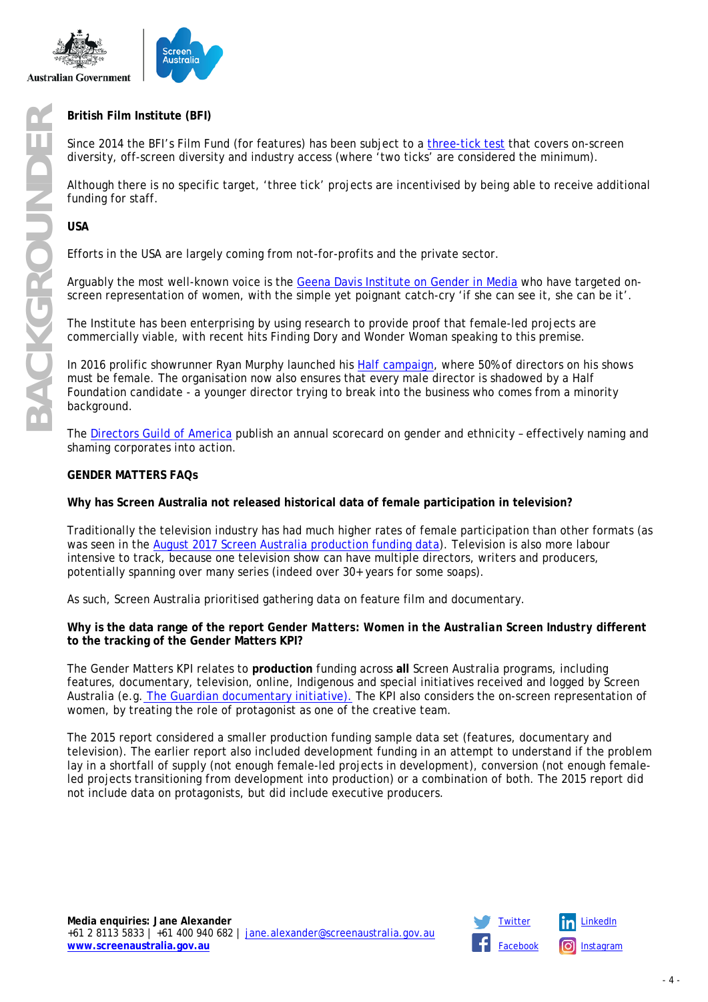



Since 2014 the BFI's Film Fund (for features) has been subject to a [three-tick test](http://www.bfi.org.uk/sites/bfi.org.uk/files/downloads/bfi-film-fund-diversity-guidelines-for-production-2014-11.pdf) that covers on-screen diversity, off-screen diversity and industry access (where 'two ticks' are considered the minimum).

Although there is no specific target, 'three tick' projects are incentivised by being able to receive additional funding for staff.

**USA**

Efforts in the USA are largely coming from not-for-profits and the private sector.

Arguably the most well-known voice is the [Geena Davis Institute on Gender in](https://seejane.org/) Media who have targeted onscreen representation of women, with the simple yet poignant catch-cry 'if she can see it, she can be it'.

The Institute has been enterprising by using research to provide proof that female-led projects are commercially viable, with recent hits *Finding Dory* and *Wonder Woman* speaking to this premise.

In 2016 prolific showrunner Ryan Murphy launched his [Half campaign,](https://www.hollywoodreporter.com/news/ryan-murphy-launches-foundation-tackle-861436) where 50% of directors on his shows must be female. The organisation now also ensures that every male director is shadowed by a Half Foundation candidate - a younger director trying to break into the business who comes from a minority background.

The [Directors Guild of America](https://www.dga.org/) publish an annual scorecard on gender and ethnicity – effectively naming and shaming corporates into action.

#### **GENDER MATTERS FAQs**

**Why has Screen Australia not released historical data of female participation in television?**

Traditionally the television industry has had much higher rates of female participation than other formats (as was seen in the [August 2017 Screen Australia production funding data\)](https://www.screenaustralia.gov.au/sa/media-centre/news/2017/08-06-gender-matters-update). Television is also more labour intensive to track, because one television show can have multiple directors, writers and producers, potentially spanning over many series (indeed over 30+ years for some soaps).

As such, Screen Australia prioritised gathering data on feature film and documentary.

**Why is the data range of the report** *Gender Matters: Women in the Australian Screen Industry* **different to the tracking of the Gender Matters KPI?**

The Gender Matters KPI relates to **production** funding across **all** Screen Australia programs, including features, documentary, television, online, Indigenous and special initiatives received and logged by Screen Australia (e.g. [The Guardian documentary initiative\).](https://www.screenaustralia.gov.au/sa/media-centre/news/2017/08-29-guardian-screen-australia-online-documentary) The KPI also considers the on-screen representation of women, by treating the role of protagonist as one of the creative team.

The 2015 report considered a smaller production funding sample data set (features, documentary and television). The earlier report also included development funding in an attempt to understand if the problem lay in a shortfall of supply (not enough female-led projects in development), conversion (not enough femaleled projects transitioning from development into production) or a combination of both. The 2015 report did not include data on protagonists, but did include executive producers.

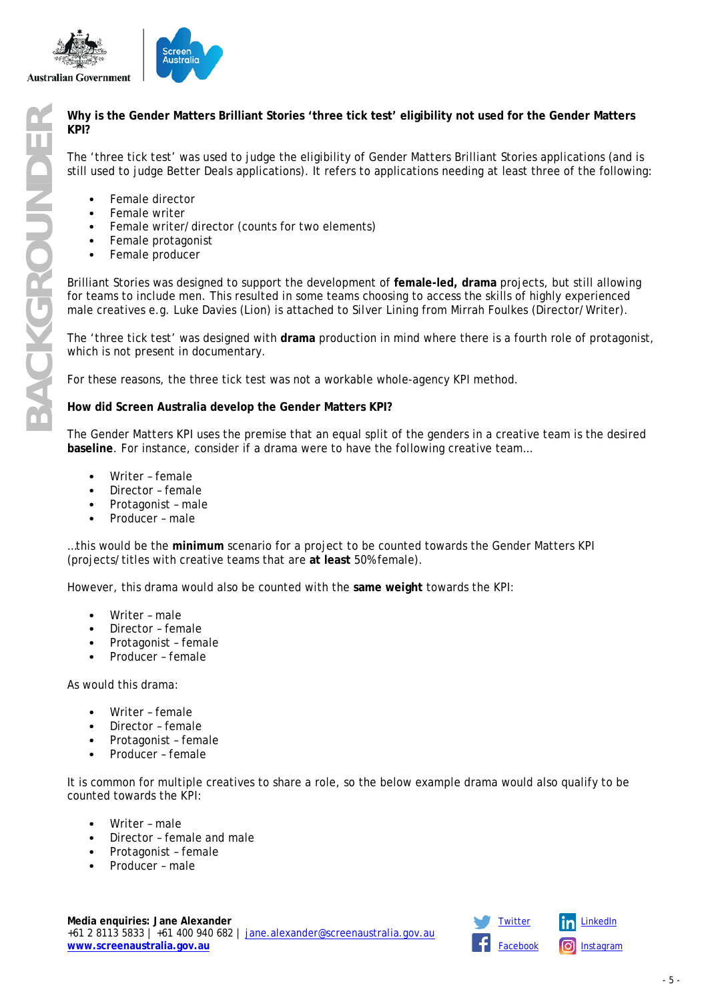

# **KPI?**

The 'three tick test' was used to judge the eligibility of Gender Matters Brilliant Stories applications (and is still used to judge Better Deals applications). It refers to applications needing at least three of the following:

- Female director
- Female writer
- Female writer/director (counts for two elements)
- Female protagonist
- Female producer

**BACK BACK CROW IS the Gender Matters Brilliant Stories 'three tick test' eligibility not used for the Gender Matters<br>
The 'three tick test' was used to judge the eligibility of Gender Matters Brilliant Stories application** Brilliant Stories was designed to support the development of **female-led, drama** projects, but still allowing for teams to include men. This resulted in some teams choosing to access the skills of highly experienced male creatives e.g. Luke Davies (*Lion*) is attached to *Silver Lining* from Mirrah Foulkes (Director/Writer).

The 'three tick test' was designed with **drama** production in mind where there is a fourth role of protagonist, which is not present in documentary.

For these reasons, the three tick test was not a workable whole-agency KPI method.

### **How did Screen Australia develop the Gender Matters KPI?**

The Gender Matters KPI uses the premise that an equal split of the genders in a creative team is the desired **baseline**. For instance, consider if a drama were to have the following creative team…

- Writer female
- Director female
- Protagonist male
- Producer male

…this would be the **minimum** scenario for a project to be counted towards the Gender Matters KPI (projects/titles with creative teams that are **at least** 50% female).

However, this drama would also be counted with the **same weight** towards the KPI:

- Writer male
- Director female
- Protagonist female
- Producer female

As would this drama:

- Writer female
- Director female
- Protagonist female
- Producer female

It is common for multiple creatives to share a role, so the below example drama would also qualify to be counted towards the KPI:

- Writer male
- Director female and male
- Protagonist female
- Producer male

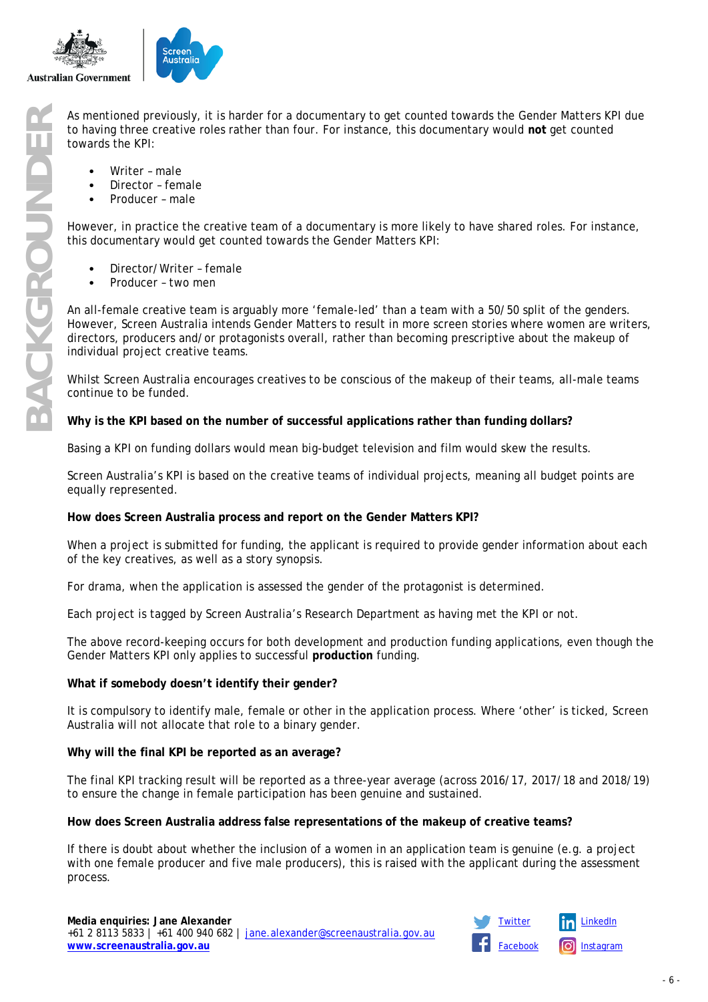

to having three creative roles rather than four. For instance, this documentary would **not** get counted towards the KPI:

- Writer male
- Director female
- Producer male

However, in practice the creative team of a documentary is more likely to have shared roles. For instance, this documentary would get counted towards the Gender Matters KPI:

- Director/Writer female
- Producer two men

As mentioned previously, it is harder for a documentary to get counted towards the Gender Matters KPI due to having three creative roles rather than four. For instance, this documentary would not get counted towards the KP An all-female creative team is arguably more 'female-led' than a team with a 50/50 split of the genders. However, Screen Australia intends Gender Matters to result in more screen stories where women are writers, directors, producers and/or protagonists overall, rather than becoming prescriptive about the makeup of individual project creative teams.

Whilst Screen Australia encourages creatives to be conscious of the makeup of their teams, all-male teams continue to be funded.

#### **Why is the KPI based on the number of successful applications rather than funding dollars?**

Basing a KPI on funding dollars would mean big-budget television and film would skew the results.

Screen Australia's KPI is based on the creative teams of individual projects, meaning all budget points are equally represented.

### **How does Screen Australia process and report on the Gender Matters KPI?**

When a project is submitted for funding, the applicant is required to provide gender information about each of the key creatives, as well as a story synopsis.

For drama, when the application is assessed the gender of the protagonist is determined.

Each project is tagged by Screen Australia's Research Department as having met the KPI or not.

The above record-keeping occurs for both development and production funding applications, even though the Gender Matters KPI only applies to successful **production** funding.

### **What if somebody doesn't identify their gender?**

It is compulsory to identify male, female or other in the application process. Where 'other' is ticked, Screen Australia will not allocate that role to a binary gender.

#### **Why will the final KPI be reported as an average?**

The final KPI tracking result will be reported as a three-year average (across 2016/17, 2017/18 and 2018/19) to ensure the change in female participation has been genuine and sustained.

### **How does Screen Australia address false representations of the makeup of creative teams?**

If there is doubt about whether the inclusion of a women in an application team is genuine (e.g. a project with one female producer and five male producers), this is raised with the applicant during the assessment process.

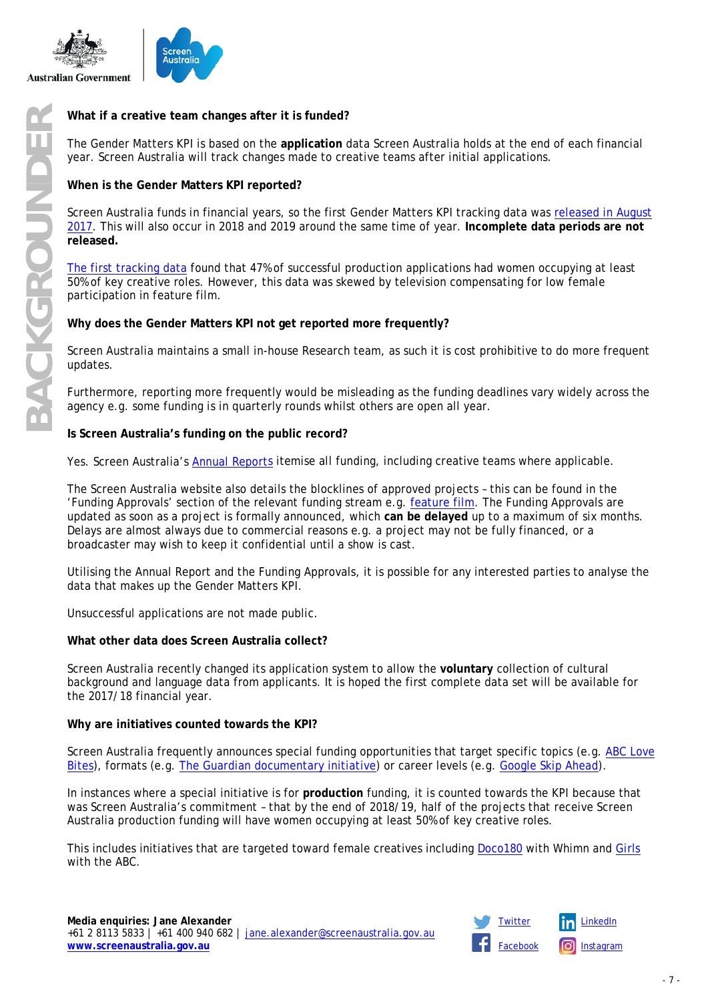



The Gender Matters KPI is based on the **application** data Screen Australia holds at the end of each financial year. Screen Australia will track changes made to creative teams after initial applications.

# **When is the Gender Matters KPI reported?**

Screen Australia funds in financial years, so the first Gender Matters KPI tracking data was [released in August](https://www.screenaustralia.gov.au/sa/media-centre/news/2017/08-06-gender-matters-update)  [2017.](https://www.screenaustralia.gov.au/sa/media-centre/news/2017/08-06-gender-matters-update) This will also occur in 2018 and 2019 around the same time of year. **Incomplete data periods are not released.**

[The first tracking data](https://www.screenaustralia.gov.au/sa/media-centre/news/2017/08-06-gender-matters-update) found that 47% of successful production applications had women occupying at least 50% of key creative roles. However, this data was skewed by television compensating for low female participation in feature film.

### **Why does the Gender Matters KPI not get reported more frequently?**

Screen Australia maintains a small in-house Research team, as such it is cost prohibitive to do more frequent updates.

Furthermore, reporting more frequently would be misleading as the funding deadlines vary widely across the agency e.g. some funding is in quarterly rounds whilst others are open all year.

### **Is Screen Australia's funding on the public record?**

Yes. Screen Australia's **[Annual Reports](https://www.screenaustralia.gov.au/about-us/corporate-documents/annual-reports)** itemise all funding, including creative teams where applicable.

The Screen Australia website also details the blocklines of approved projects – this can be found in the 'Funding Approvals' section of the relevant funding stream e.g. [feature film.](https://www.screenaustralia.gov.au/funding-and-support/feature-films/funding-approvals) The Funding Approvals are updated as soon as a project is formally announced, which **can be delayed** up to a maximum of six months. Delays are almost always due to commercial reasons e.g. a project may not be fully financed, or a broadcaster may wish to keep it confidential until a show is cast.

Utilising the Annual Report and the Funding Approvals, it is possible for any interested parties to analyse the data that makes up the Gender Matters KPI.

Unsuccessful applications are not made public.

### **What other data does Screen Australia collect?**

Screen Australia recently changed its application system to allow the **voluntary** collection of cultural background and language data from applicants. It is hoped the first complete data set will be available for the 2017/18 financial year.

### **Why are initiatives counted towards the KPI?**

Screen Australia frequently announces special funding opportunities that target specific topics (e.g. [ABC Love](https://www.screenaustralia.gov.au/sa/media-centre/news/2017/10-20-love-bites-lgbtqi-filmmaking-teams-funded)  [Bites\)](https://www.screenaustralia.gov.au/sa/media-centre/news/2017/10-20-love-bites-lgbtqi-filmmaking-teams-funded), formats (e.g. [The Guardian documentary initiative\)](https://www.screenaustralia.gov.au/sa/media-centre/news/2017/08-29-guardian-screen-australia-online-documentary) or career levels (e.g. [Google Skip Ahead\)](https://www.screenaustralia.gov.au/sa/media-centre/news/2017/09-09-skip-ahead-turns-four).

In instances where a special initiative is for **production** funding, it is counted towards the KPI because that was Screen Australia's commitment – that by the end of 2018/19, half of the projects that receive Screen Australia production funding will have women occupying at least 50% of key creative roles.

This includes initiatives that are targeted toward female creatives including [Doco180](https://www.screenaustralia.gov.au/sa/media-centre/news/2017/06-14-doco180-recipients) with Whimn and [Girls](https://www.screenaustralia.gov.au/sa/media-centre/news/2017/07-25-creators-selected-for-girls-season) with the ABC.